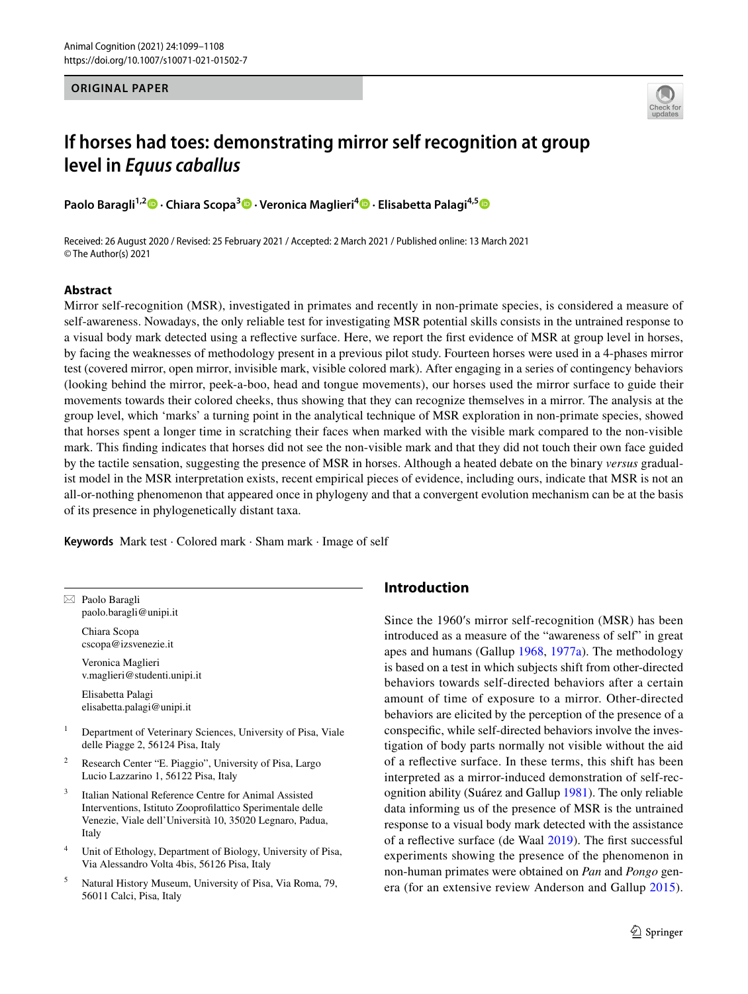#### **ORIGINAL PAPER**



# **If horses had toes: demonstrating mirror self recognition at group level in** *Equus caballus*

**Paolo Baragli1,2  [·](http://orcid.org/0000-0001-5221-5714) Chiara Scopa<sup>3</sup>  [·](http://orcid.org/0000-0002-1519-9556) Veronica Maglieri4  [·](http://orcid.org/0000-0001-6631-043X) Elisabetta Palagi4,[5](http://orcid.org/0000-0002-2038-4596)**

Received: 26 August 2020 / Revised: 25 February 2021 / Accepted: 2 March 2021 / Published online: 13 March 2021 © The Author(s) 2021

## **Abstract**

Mirror self-recognition (MSR), investigated in primates and recently in non-primate species, is considered a measure of self-awareness. Nowadays, the only reliable test for investigating MSR potential skills consists in the untrained response to a visual body mark detected using a refective surface. Here, we report the frst evidence of MSR at group level in horses, by facing the weaknesses of methodology present in a previous pilot study. Fourteen horses were used in a 4-phases mirror test (covered mirror, open mirror, invisible mark, visible colored mark). After engaging in a series of contingency behaviors (looking behind the mirror, peek-a-boo, head and tongue movements), our horses used the mirror surface to guide their movements towards their colored cheeks, thus showing that they can recognize themselves in a mirror. The analysis at the group level, which 'marks' a turning point in the analytical technique of MSR exploration in non-primate species, showed that horses spent a longer time in scratching their faces when marked with the visible mark compared to the non-visible mark. This fnding indicates that horses did not see the non-visible mark and that they did not touch their own face guided by the tactile sensation, suggesting the presence of MSR in horses. Although a heated debate on the binary *versus* gradualist model in the MSR interpretation exists, recent empirical pieces of evidence, including ours, indicate that MSR is not an all-or-nothing phenomenon that appeared once in phylogeny and that a convergent evolution mechanism can be at the basis of its presence in phylogenetically distant taxa.

**Keywords** Mark test · Colored mark · Sham mark · Image of self

 $\boxtimes$  Paolo Baragli paolo.baragli@unipi.it

> Chiara Scopa cscopa@izsvenezie.it

Veronica Maglieri v.maglieri@studenti.unipi.it

Elisabetta Palagi elisabetta.palagi@unipi.it

- <sup>1</sup> Department of Veterinary Sciences, University of Pisa, Viale delle Piagge 2, 56124 Pisa, Italy
- <sup>2</sup> Research Center "E. Piaggio", University of Pisa, Largo Lucio Lazzarino 1, 56122 Pisa, Italy
- Italian National Reference Centre for Animal Assisted Interventions, Istituto Zooproflattico Sperimentale delle Venezie, Viale dell'Università 10, 35020 Legnaro, Padua, Italy
- <sup>4</sup> Unit of Ethology, Department of Biology, University of Pisa, Via Alessandro Volta 4bis, 56126 Pisa, Italy
- <sup>5</sup> Natural History Museum, University of Pisa, Via Roma, 79, 56011 Calci, Pisa, Italy

# **Introduction**

Since the 1960′s mirror self-recognition (MSR) has been introduced as a measure of the "awareness of self" in great apes and humans (Gallup [1968](#page-8-0), [1977a](#page-8-1)). The methodology is based on a test in which subjects shift from other-directed behaviors towards self-directed behaviors after a certain amount of time of exposure to a mirror. Other-directed behaviors are elicited by the perception of the presence of a conspecifc, while self-directed behaviors involve the investigation of body parts normally not visible without the aid of a refective surface. In these terms, this shift has been interpreted as a mirror-induced demonstration of self-recognition ability (Suárez and Gallup [1981\)](#page-9-0). The only reliable data informing us of the presence of MSR is the untrained response to a visual body mark detected with the assistance of a refective surface (de Waal [2019\)](#page-8-2). The frst successful experiments showing the presence of the phenomenon in non-human primates were obtained on *Pan* and *Pongo* genera (for an extensive review Anderson and Gallup [2015](#page-8-3)).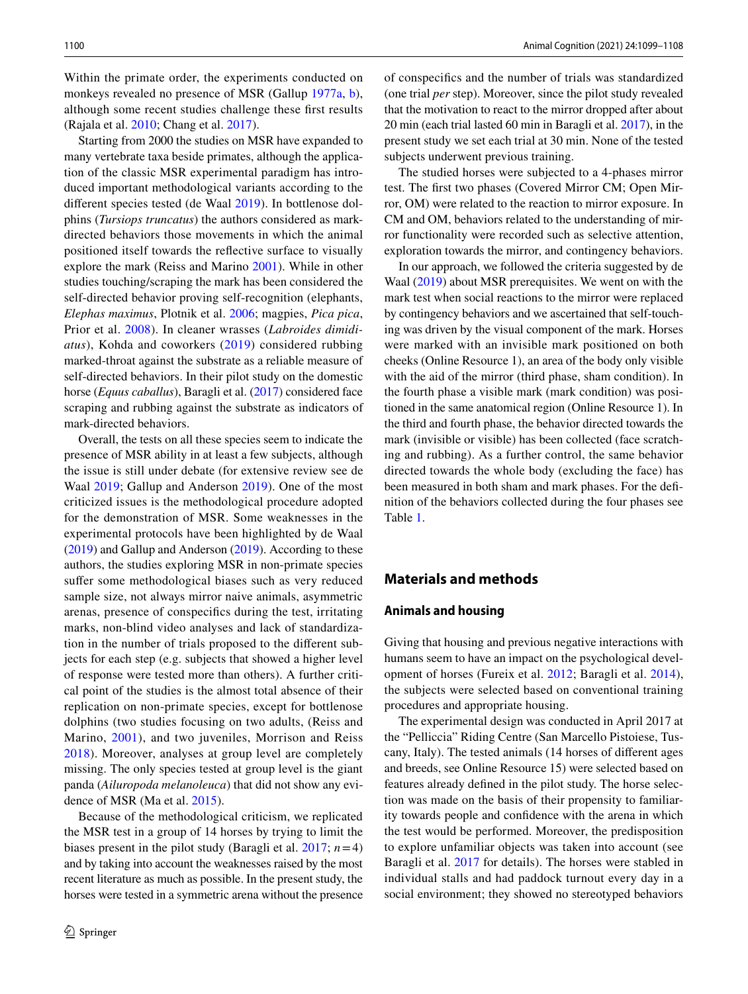Within the primate order, the experiments conducted on monkeys revealed no presence of MSR (Gallup [1977a,](#page-8-1) [b](#page-8-4)), although some recent studies challenge these frst results (Rajala et al. [2010;](#page-8-5) Chang et al. [2017\)](#page-8-6).

Starting from 2000 the studies on MSR have expanded to many vertebrate taxa beside primates, although the application of the classic MSR experimental paradigm has introduced important methodological variants according to the diferent species tested (de Waal [2019\)](#page-8-2). In bottlenose dolphins (*Tursiops truncatus*) the authors considered as markdirected behaviors those movements in which the animal positioned itself towards the refective surface to visually explore the mark (Reiss and Marino [2001](#page-9-1)). While in other studies touching/scraping the mark has been considered the self-directed behavior proving self-recognition (elephants, *Elephas maximus*, Plotnik et al. [2006;](#page-8-7) magpies, *Pica pica*, Prior et al. [2008](#page-8-8)). In cleaner wrasses (*Labroides dimidiatus*), Kohda and coworkers ([2019\)](#page-8-9) considered rubbing marked-throat against the substrate as a reliable measure of self-directed behaviors. In their pilot study on the domestic horse (*Equus caballus*), Baragli et al. [\(2017](#page-8-10)) considered face scraping and rubbing against the substrate as indicators of mark-directed behaviors.

Overall, the tests on all these species seem to indicate the presence of MSR ability in at least a few subjects, although the issue is still under debate (for extensive review see de Waal [2019](#page-8-2); Gallup and Anderson [2019](#page-8-11)). One of the most criticized issues is the methodological procedure adopted for the demonstration of MSR. Some weaknesses in the experimental protocols have been highlighted by de Waal [\(2019](#page-8-2)) and Gallup and Anderson ([2019](#page-8-11)). According to these authors, the studies exploring MSR in non-primate species suffer some methodological biases such as very reduced sample size, not always mirror naive animals, asymmetric arenas, presence of conspecifcs during the test, irritating marks, non-blind video analyses and lack of standardization in the number of trials proposed to the diferent subjects for each step (e.g. subjects that showed a higher level of response were tested more than others). A further critical point of the studies is the almost total absence of their replication on non-primate species, except for bottlenose dolphins (two studies focusing on two adults, (Reiss and Marino, [2001](#page-9-1)), and two juveniles, Morrison and Reiss [2018\)](#page-8-12). Moreover, analyses at group level are completely missing. The only species tested at group level is the giant panda (*Ailuropoda melanoleuca*) that did not show any evidence of MSR (Ma et al. [2015\)](#page-8-13).

Because of the methodological criticism, we replicated the MSR test in a group of 14 horses by trying to limit the biases present in the pilot study (Baragli et al.  $2017$ ;  $n=4$ ) and by taking into account the weaknesses raised by the most recent literature as much as possible. In the present study, the horses were tested in a symmetric arena without the presence of conspecifcs and the number of trials was standardized (one trial *per* step). Moreover, since the pilot study revealed that the motivation to react to the mirror dropped after about 20 min (each trial lasted 60 min in Baragli et al. [2017](#page-8-10)), in the present study we set each trial at 30 min. None of the tested subjects underwent previous training.

The studied horses were subjected to a 4-phases mirror test. The frst two phases (Covered Mirror CM; Open Mirror, OM) were related to the reaction to mirror exposure. In CM and OM, behaviors related to the understanding of mirror functionality were recorded such as selective attention, exploration towards the mirror, and contingency behaviors.

In our approach, we followed the criteria suggested by de Waal [\(2019](#page-8-2)) about MSR prerequisites. We went on with the mark test when social reactions to the mirror were replaced by contingency behaviors and we ascertained that self-touching was driven by the visual component of the mark. Horses were marked with an invisible mark positioned on both cheeks (Online Resource 1), an area of the body only visible with the aid of the mirror (third phase, sham condition). In the fourth phase a visible mark (mark condition) was positioned in the same anatomical region (Online Resource 1). In the third and fourth phase, the behavior directed towards the mark (invisible or visible) has been collected (face scratching and rubbing). As a further control, the same behavior directed towards the whole body (excluding the face) has been measured in both sham and mark phases. For the definition of the behaviors collected during the four phases see Table [1](#page-2-0).

## **Materials and methods**

## **Animals and housing**

Giving that housing and previous negative interactions with humans seem to have an impact on the psychological development of horses (Fureix et al. [2012](#page-8-14); Baragli et al. [2014](#page-8-15)), the subjects were selected based on conventional training procedures and appropriate housing.

The experimental design was conducted in April 2017 at the "Pelliccia" Riding Centre (San Marcello Pistoiese, Tuscany, Italy). The tested animals (14 horses of diferent ages and breeds, see Online Resource 15) were selected based on features already defned in the pilot study. The horse selection was made on the basis of their propensity to familiarity towards people and confdence with the arena in which the test would be performed. Moreover, the predisposition to explore unfamiliar objects was taken into account (see Baragli et al. [2017](#page-8-10) for details). The horses were stabled in individual stalls and had paddock turnout every day in a social environment; they showed no stereotyped behaviors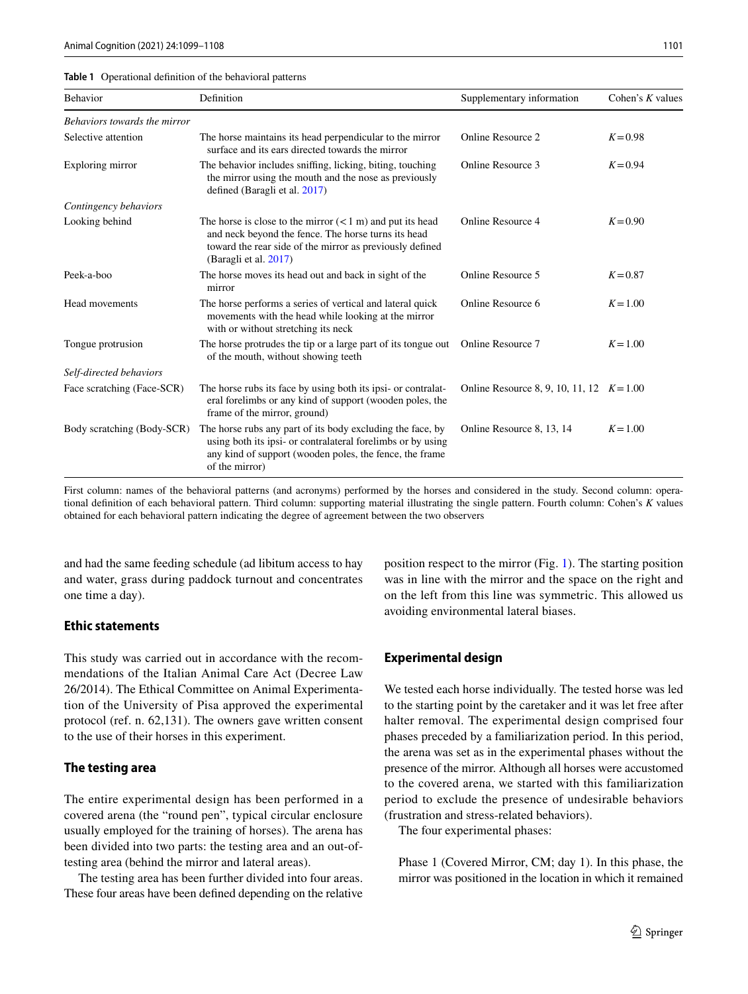<span id="page-2-0"></span>

| <b>Table 1</b> Operational definition of the behavioral patterns |  |  |  |  |  |
|------------------------------------------------------------------|--|--|--|--|--|
|------------------------------------------------------------------|--|--|--|--|--|

| Behavior                     | Definition                                                                                                                                                                                                      | Supplementary information                 | Cohen's $K$ values |
|------------------------------|-----------------------------------------------------------------------------------------------------------------------------------------------------------------------------------------------------------------|-------------------------------------------|--------------------|
| Behaviors towards the mirror |                                                                                                                                                                                                                 |                                           |                    |
| Selective attention          | The horse maintains its head perpendicular to the mirror<br>surface and its ears directed towards the mirror                                                                                                    | Online Resource 2                         | $K = 0.98$         |
| Exploring mirror             | The behavior includes sniffing, licking, biting, touching<br>the mirror using the mouth and the nose as previously<br>defined (Baragli et al. 2017)                                                             | Online Resource 3                         | $K = 0.94$         |
| Contingency behaviors        |                                                                                                                                                                                                                 |                                           |                    |
| Looking behind               | The horse is close to the mirror $(< 1 \text{ m})$ and put its head<br>and neck beyond the fence. The horse turns its head<br>toward the rear side of the mirror as previously defined<br>(Baragli et al. 2017) | Online Resource 4                         | $K = 0.90$         |
| Peek-a-boo                   | The horse moves its head out and back in sight of the<br>mirror                                                                                                                                                 | Online Resource 5                         | $K = 0.87$         |
| Head movements               | The horse performs a series of vertical and lateral quick<br>movements with the head while looking at the mirror<br>with or without stretching its neck                                                         | Online Resource 6                         | $K = 1.00$         |
| Tongue protrusion            | The horse protrudes the tip or a large part of its tongue out<br>of the mouth, without showing teeth                                                                                                            | Online Resource 7                         | $K = 1.00$         |
| Self-directed behaviors      |                                                                                                                                                                                                                 |                                           |                    |
| Face scratching (Face-SCR)   | The horse rubs its face by using both its ipsi- or contralat-<br>eral forelimbs or any kind of support (wooden poles, the<br>frame of the mirror, ground)                                                       | Online Resource 8, 9, 10, 11, 12 $K=1.00$ |                    |
| Body scratching (Body-SCR)   | The horse rubs any part of its body excluding the face, by<br>using both its ipsi- or contralateral forelimbs or by using<br>any kind of support (wooden poles, the fence, the frame<br>of the mirror)          | Online Resource 8, 13, 14                 | $K = 1.00$         |

First column: names of the behavioral patterns (and acronyms) performed by the horses and considered in the study. Second column: operational defnition of each behavioral pattern. Third column: supporting material illustrating the single pattern. Fourth column: Cohen's *K* values obtained for each behavioral pattern indicating the degree of agreement between the two observers

and had the same feeding schedule (ad libitum access to hay and water, grass during paddock turnout and concentrates one time a day).

#### **Ethic statements**

This study was carried out in accordance with the recommendations of the Italian Animal Care Act (Decree Law 26/2014). The Ethical Committee on Animal Experimentation of the University of Pisa approved the experimental protocol (ref. n. 62,131). The owners gave written consent to the use of their horses in this experiment.

#### **The testing area**

The entire experimental design has been performed in a covered arena (the "round pen", typical circular enclosure usually employed for the training of horses). The arena has been divided into two parts: the testing area and an out-oftesting area (behind the mirror and lateral areas).

The testing area has been further divided into four areas. These four areas have been defned depending on the relative

position respect to the mirror (Fig. [1](#page-3-0)). The starting position was in line with the mirror and the space on the right and on the left from this line was symmetric. This allowed us avoiding environmental lateral biases.

#### **Experimental design**

We tested each horse individually. The tested horse was led to the starting point by the caretaker and it was let free after halter removal. The experimental design comprised four phases preceded by a familiarization period. In this period, the arena was set as in the experimental phases without the presence of the mirror. Although all horses were accustomed to the covered arena, we started with this familiarization period to exclude the presence of undesirable behaviors (frustration and stress-related behaviors).

The four experimental phases:

Phase 1 (Covered Mirror, CM; day 1). In this phase, the mirror was positioned in the location in which it remained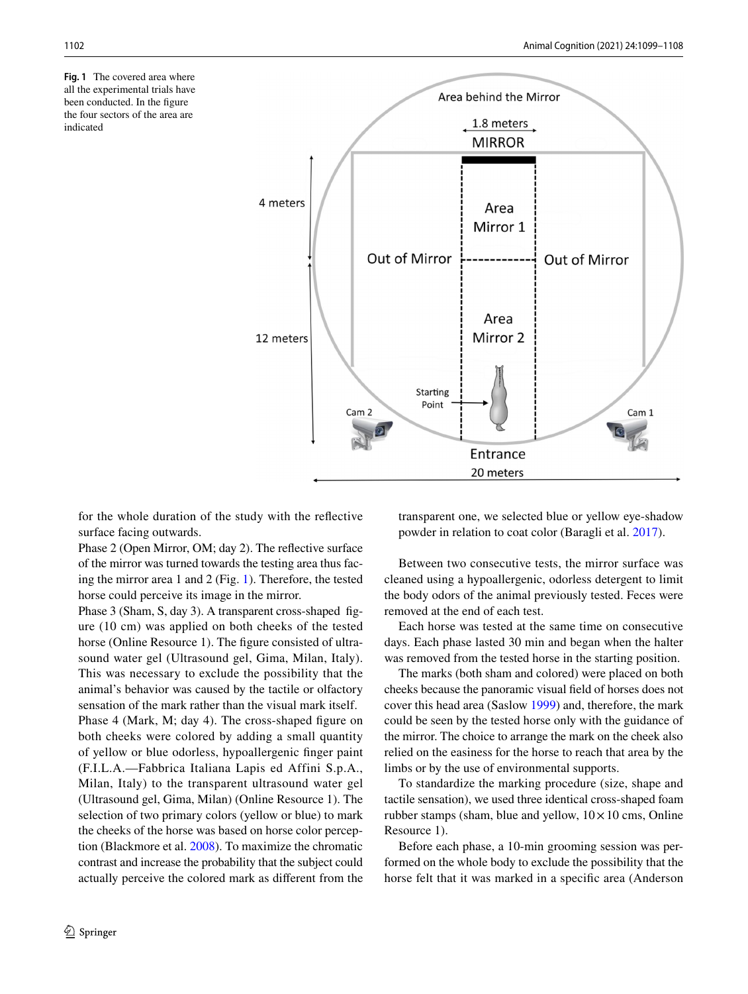<span id="page-3-0"></span>**Fig. 1** The covered area where all the experimental trials have been conducted. In the figure the four sectors of the area are indicated



for the whole duration of the study with the refective surface facing outwards.

Phase 2 (Open Mirror, OM; day 2). The refective surface of the mirror was turned towards the testing area thus facing the mirror area 1 and 2 (Fig. [1](#page-3-0)). Therefore, the tested horse could perceive its image in the mirror.

Phase 3 (Sham, S, day 3). A transparent cross-shaped fgure (10 cm) was applied on both cheeks of the tested horse (Online Resource 1). The figure consisted of ultrasound water gel (Ultrasound gel, Gima, Milan, Italy). This was necessary to exclude the possibility that the animal's behavior was caused by the tactile or olfactory sensation of the mark rather than the visual mark itself.

Phase 4 (Mark, M; day 4). The cross-shaped figure on both cheeks were colored by adding a small quantity of yellow or blue odorless, hypoallergenic fnger paint (F.I.L.A.—Fabbrica Italiana Lapis ed Affini S.p.A., Milan, Italy) to the transparent ultrasound water gel (Ultrasound gel, Gima, Milan) (Online Resource 1). The selection of two primary colors (yellow or blue) to mark the cheeks of the horse was based on horse color perception (Blackmore et al. [2008](#page-8-16)). To maximize the chromatic contrast and increase the probability that the subject could actually perceive the colored mark as diferent from the transparent one, we selected blue or yellow eye-shadow powder in relation to coat color (Baragli et al. [2017](#page-8-10)).

Between two consecutive tests, the mirror surface was cleaned using a hypoallergenic, odorless detergent to limit the body odors of the animal previously tested. Feces were removed at the end of each test.

Each horse was tested at the same time on consecutive days. Each phase lasted 30 min and began when the halter was removed from the tested horse in the starting position.

The marks (both sham and colored) were placed on both cheeks because the panoramic visual feld of horses does not cover this head area (Saslow [1999\)](#page-9-2) and, therefore, the mark could be seen by the tested horse only with the guidance of the mirror. The choice to arrange the mark on the cheek also relied on the easiness for the horse to reach that area by the limbs or by the use of environmental supports.

To standardize the marking procedure (size, shape and tactile sensation), we used three identical cross-shaped foam rubber stamps (sham, blue and yellow,  $10 \times 10$  cms, Online Resource 1).

Before each phase, a 10-min grooming session was performed on the whole body to exclude the possibility that the horse felt that it was marked in a specifc area (Anderson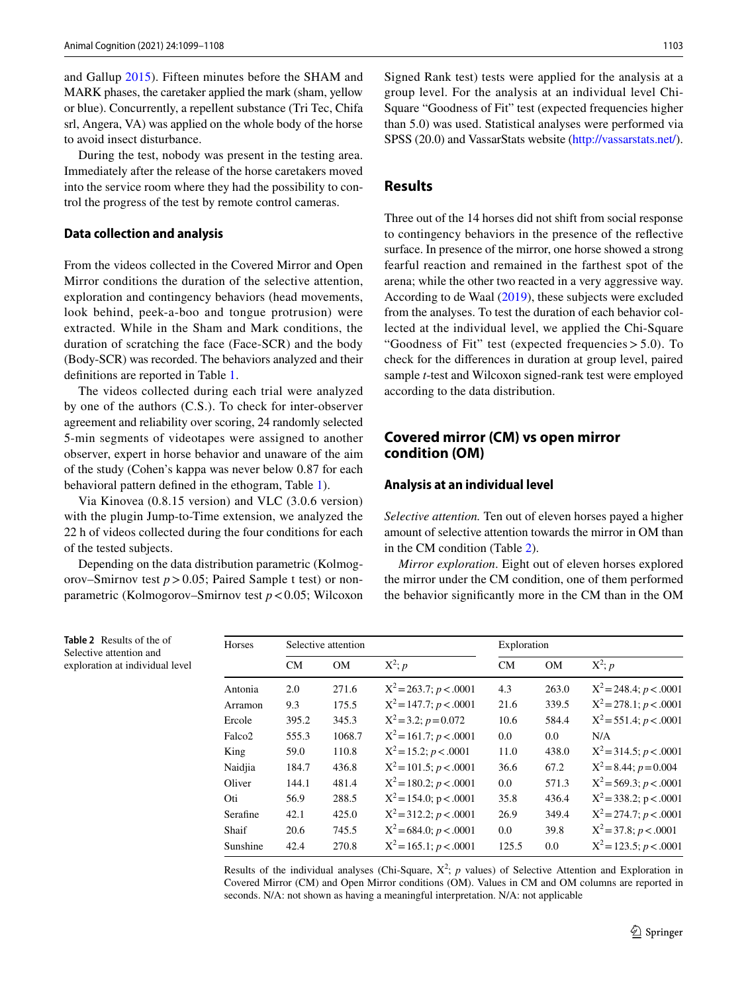and Gallup [2015](#page-8-3)). Fifteen minutes before the SHAM and MARK phases, the caretaker applied the mark (sham, yellow or blue). Concurrently, a repellent substance (Tri Tec, Chifa srl, Angera, VA) was applied on the whole body of the horse to avoid insect disturbance.

During the test, nobody was present in the testing area. Immediately after the release of the horse caretakers moved into the service room where they had the possibility to control the progress of the test by remote control cameras.

#### **Data collection and analysis**

From the videos collected in the Covered Mirror and Open Mirror conditions the duration of the selective attention, exploration and contingency behaviors (head movements, look behind, peek-a-boo and tongue protrusion) were extracted. While in the Sham and Mark conditions, the duration of scratching the face (Face-SCR) and the body (Body-SCR) was recorded. The behaviors analyzed and their defnitions are reported in Table [1.](#page-2-0)

The videos collected during each trial were analyzed by one of the authors (C.S.). To check for inter-observer agreement and reliability over scoring, 24 randomly selected 5-min segments of videotapes were assigned to another observer, expert in horse behavior and unaware of the aim of the study (Cohen's kappa was never below 0.87 for each behavioral pattern defned in the ethogram, Table [1](#page-2-0)).

Via Kinovea (0.8.15 version) and VLC (3.0.6 version) with the plugin Jump-to-Time extension, we analyzed the 22 h of videos collected during the four conditions for each of the tested subjects.

Depending on the data distribution parametric (Kolmogorov–Smirnov test  $p > 0.05$ ; Paired Sample t test) or nonparametric (Kolmogorov–Smirnov test *p*<0.05; Wilcoxon

Signed Rank test) tests were applied for the analysis at a group level. For the analysis at an individual level Chi-Square "Goodness of Fit" test (expected frequencies higher than 5.0) was used. Statistical analyses were performed via SPSS (20.0) and VassarStats website (<http://vassarstats.net/>).

## **Results**

Three out of the 14 horses did not shift from social response to contingency behaviors in the presence of the refective surface. In presence of the mirror, one horse showed a strong fearful reaction and remained in the farthest spot of the arena; while the other two reacted in a very aggressive way. According to de Waal ([2019\)](#page-8-2), these subjects were excluded from the analyses. To test the duration of each behavior collected at the individual level, we applied the Chi-Square "Goodness of Fit" test (expected frequencies> 5.0). To check for the diferences in duration at group level, paired sample *t*-test and Wilcoxon signed-rank test were employed according to the data distribution.

# **Covered mirror (CM) vs open mirror condition (OM)**

#### **Analysis at an individual level**

*Selective attention.* Ten out of eleven horses payed a higher amount of selective attention towards the mirror in OM than in the CM condition (Table [2\)](#page-4-0).

*Mirror exploration*. Eight out of eleven horses explored the mirror under the CM condition, one of them performed the behavior signifcantly more in the CM than in the OM

| Horses             |       | Selective attention |                             | Exploration |           |                             |  |
|--------------------|-------|---------------------|-----------------------------|-------------|-----------|-----------------------------|--|
|                    | CM    | <b>OM</b>           | $X^2$ ; p                   | CM          | <b>OM</b> | $X^2$ ; p                   |  |
| Antonia            | 2.0   | 271.6               | $X^2 = 263.7$ ; $p < .0001$ | 4.3         | 263.0     | $X^2 = 248.4$ ; $p < .0001$ |  |
| Arramon            | 9.3   | 175.5               | $X^2 = 147.7$ ; $p < .0001$ | 21.6        | 339.5     | $X^2 = 278.1$ ; $p < .0001$ |  |
| Ercole             | 395.2 | 345.3               | $X^2 = 3.2$ ; $p = 0.072$   | 10.6        | 584.4     | $X^2 = 551.4$ ; $p < .0001$ |  |
| Falco <sub>2</sub> | 555.3 | 1068.7              | $X^2 = 161.7$ ; $p < .0001$ | 0.0         | 0.0       | N/A                         |  |
| King               | 59.0  | 110.8               | $X^2 = 15.2$ ; $p < .0001$  | 11.0        | 438.0     | $X^2 = 314.5$ ; $p < .0001$ |  |
| Naidjia            | 184.7 | 436.8               | $X^2 = 101.5$ ; $p < .0001$ | 36.6        | 67.2      | $X^2 = 8.44$ ; $p = 0.004$  |  |
| Oliver             | 144.1 | 481.4               | $X^2 = 180.2$ ; $p < .0001$ | 0.0         | 571.3     | $X^2 = 569.3; p < .0001$    |  |
| Oti                | 56.9  | 288.5               | $X^2 = 154.0$ ; p < .0001   | 35.8        | 436.4     | $X^2 = 338.2$ ; p < .0001   |  |
| Serafine           | 42.1  | 425.0               | $X^2 = 312.2$ ; $p < .0001$ | 26.9        | 349.4     | $X^2 = 274.7$ ; $p < .0001$ |  |
| Shaif              | 20.6  | 745.5               | $X^2$ = 684.0; $p < .0001$  | 0.0         | 39.8      | $X^2 = 37.8$ ; $p < .0001$  |  |
| Sunshine           | 42.4  | 270.8               | $X^2 = 165.1$ ; $p < .0001$ | 125.5       | 0.0       | $X^2 = 123.5$ ; $p < .0001$ |  |

Results of the individual analyses (Chi-Square,  $X^2$ ; *p* values) of Selective Attention and Exploration in Covered Mirror (CM) and Open Mirror conditions (OM). Values in CM and OM columns are reported in seconds. N/A: not shown as having a meaningful interpretation. N/A: not applicable

<span id="page-4-0"></span>**Table 2** Results of the of Selective attention and exploration at individual level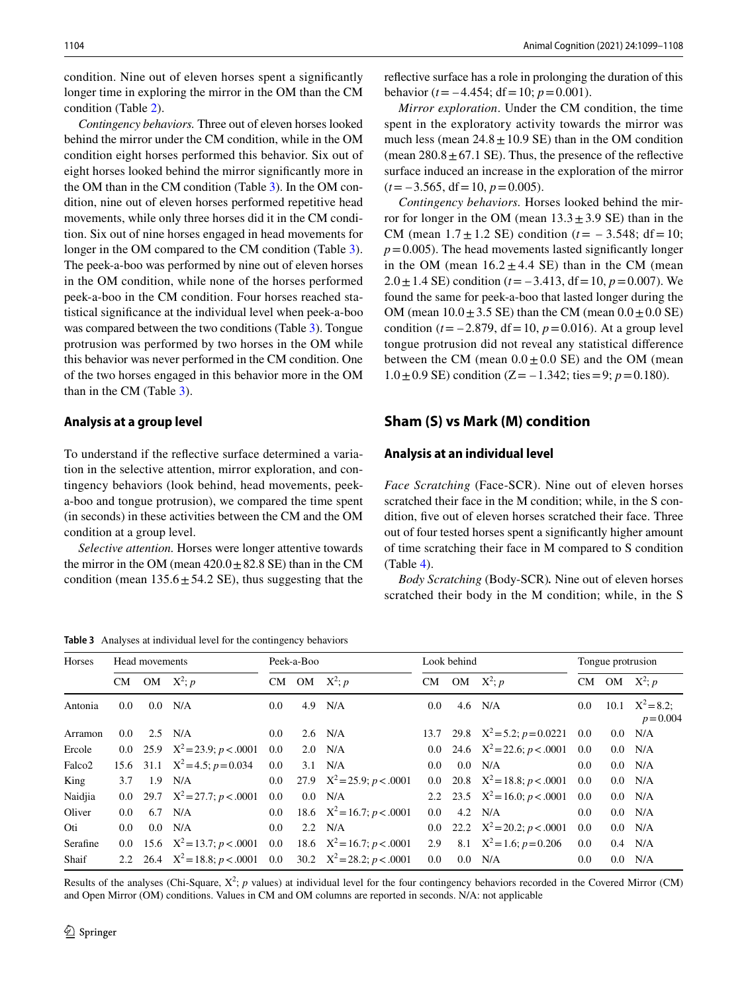condition. Nine out of eleven horses spent a signifcantly longer time in exploring the mirror in the OM than the CM condition (Table [2](#page-4-0)).

*Contingency behaviors.* Three out of eleven horses looked behind the mirror under the CM condition, while in the OM condition eight horses performed this behavior. Six out of eight horses looked behind the mirror signifcantly more in the OM than in the CM condition (Table [3\)](#page-5-0). In the OM condition, nine out of eleven horses performed repetitive head movements, while only three horses did it in the CM condition. Six out of nine horses engaged in head movements for longer in the OM compared to the CM condition (Table [3](#page-5-0)). The peek-a-boo was performed by nine out of eleven horses in the OM condition, while none of the horses performed peek-a-boo in the CM condition. Four horses reached statistical signifcance at the individual level when peek-a-boo was compared between the two conditions (Table [3](#page-5-0)). Tongue protrusion was performed by two horses in the OM while this behavior was never performed in the CM condition. One of the two horses engaged in this behavior more in the OM than in the CM (Table [3\)](#page-5-0).

#### **Analysis at a group level**

To understand if the refective surface determined a variation in the selective attention, mirror exploration, and contingency behaviors (look behind, head movements, peeka-boo and tongue protrusion), we compared the time spent (in seconds) in these activities between the CM and the OM condition at a group level.

*Selective attention.* Horses were longer attentive towards the mirror in the OM (mean  $420.0 \pm 82.8$  SE) than in the CM condition (mean  $135.6 \pm 54.2$  SE), thus suggesting that the

<span id="page-5-0"></span>**Table 3** Analyses at individual level for the contingency behaviors

refective surface has a role in prolonging the duration of this behavior ( $t = -4.454$ ; df = 10;  $p = 0.001$ ).

*Mirror exploration*. Under the CM condition, the time spent in the exploratory activity towards the mirror was much less (mean  $24.8 \pm 10.9$  SE) than in the OM condition (mean  $280.8 \pm 67.1$  SE). Thus, the presence of the reflective surface induced an increase in the exploration of the mirror  $(t = -3.565, df = 10, p = 0.005)$ .

*Contingency behaviors.* Horses looked behind the mirror for longer in the OM (mean  $13.3 \pm 3.9$  SE) than in the CM (mean  $1.7 \pm 1.2$  SE) condition ( $t = -3.548$ ; df = 10;  $p = 0.005$ ). The head movements lasted significantly longer in the OM (mean  $16.2 \pm 4.4$  SE) than in the CM (mean 2.0  $\pm$  1.4 SE) condition ( $t = -3.413$ , df = 10,  $p = 0.007$ ). We found the same for peek-a-boo that lasted longer during the OM (mean  $10.0 \pm 3.5$  SE) than the CM (mean  $0.0 \pm 0.0$  SE) condition ( $t = -2.879$ , df = 10,  $p = 0.016$ ). At a group level tongue protrusion did not reveal any statistical diference between the CM (mean  $0.0 \pm 0.0$  SE) and the OM (mean 1.0  $\pm$  0.9 SE) condition (Z = -1.342; ties = 9; *p* = 0.180).

## **Sham (S) vs Mark (M) condition**

#### **Analysis at an individual level**

*Face Scratching* (Face-SCR). Nine out of eleven horses scratched their face in the M condition; while, in the S condition, fve out of eleven horses scratched their face. Three out of four tested horses spent a signifcantly higher amount of time scratching their face in M compared to S condition (Table [4\)](#page-6-0).

*Body Scratching* (Body-SCR)*.* Nine out of eleven horses scratched their body in the M condition; while, in the S

| <b>Horses</b>      | Head movements   |     |                                     | Peek-a-Boo    |  |                                 | Look behind      |  |                                          | Tongue protrusion |         |                                   |
|--------------------|------------------|-----|-------------------------------------|---------------|--|---------------------------------|------------------|--|------------------------------------------|-------------------|---------|-----------------------------------|
|                    |                  |     | CM OM $X^2$ ; p                     |               |  | CM OM $X^2$ ; p                 |                  |  | CM OM $X^2$ ; p                          |                   |         | CM OM $X^2$ ; p                   |
| Antonia            | $0.0\,$          | 0.0 | N/A                                 | 0.0           |  | $4.9$ N/A                       | $0.0\,$          |  | $4.6$ N/A                                | 0.0               |         | 10.1 $X^2 = 8.2$ :<br>$p = 0.004$ |
| Arramon            | 0.0 <sub>1</sub> | 2.5 | N/A                                 | 0.0           |  | $2.6$ N/A                       |                  |  | 13.7 29.8 $X^2 = 5.2$ ; $p = 0.0221$ 0.0 |                   | $0.0\,$ | N/A                               |
| Ercole             |                  |     | 0.0 25.9 $X^2 = 23.9$ ; $p < .0001$ | 0.0           |  | $2.0$ N/A                       |                  |  | 0.0 24.6 $X^2 = 22.6$ ; $p < .0001$ 0.0  |                   | $0.0\,$ | N/A                               |
| Falco <sub>2</sub> |                  |     | 15.6 31.1 $X^2 = 4.5$ ; $p = 0.034$ | $0.0^{\circ}$ |  | $3.1$ N/A                       | 0.0 <sub>1</sub> |  | $0.0$ N/A                                | 0.0               |         | $0.0$ N/A                         |
| King               | 3.7              |     | $1.9$ N/A                           | $0.0\,$       |  | 27.9 $X^2 = 25.9$ ; $p < .0001$ |                  |  | 0.0 20.8 $X^2 = 18.8; p < .0001$ 0.0     |                   |         | $0.0$ N/A                         |
| Naidjia            |                  |     | 0.0 29.7 $X^2 = 27.7$ ; $p < .0001$ | 0.0           |  | $0.0$ N/A                       |                  |  | 2.2 23.5 $X^2 = 16.0; p < .0001$ 0.0     |                   |         | $0.0$ N/A                         |
| Oliver             | 0.0 <sub>1</sub> |     | $6.7$ N/A                           | 0.0           |  | 18.6 $X^2 = 16.7$ ; $p < .0001$ | 0.0 <sub>1</sub> |  | $4.2$ N/A                                | 0.0               |         | $0.0$ N/A                         |
| Oti                | $0.0\,$          |     | $0.0$ N/A                           | 0.0           |  | $2.2$ N/A                       |                  |  | 0.0 22.2 $X^2 = 20.2$ ; $p < .0001$      | $0.0\,$           |         | $0.0$ N/A                         |
| Serafine           |                  |     | 0.0 15.6 $X^2 = 13.7$ ; $p < .0001$ | $0.0\,$       |  | 18.6 $X^2 = 16.7; p < .0001$    | 2.9              |  | 8.1 $X^2 = 1.6$ ; $p = 0.206$            | 0.0               |         | $0.4$ N/A                         |
| Shaif              |                  |     | 2.2 26.4 $X^2 = 18.8$ ; $p < .0001$ | $0.0\,$       |  | 30.2 $X^2 = 28.2$ ; $p < .0001$ | $0.0\,$          |  | $0.0$ N/A                                | 0.0               | $0.0\,$ | N/A                               |

Results of the analyses (Chi-Square,  $X^2$ ; *p* values) at individual level for the four contingency behaviors recorded in the Covered Mirror (CM) and Open Mirror (OM) conditions. Values in CM and OM columns are reported in seconds. N/A: not applicable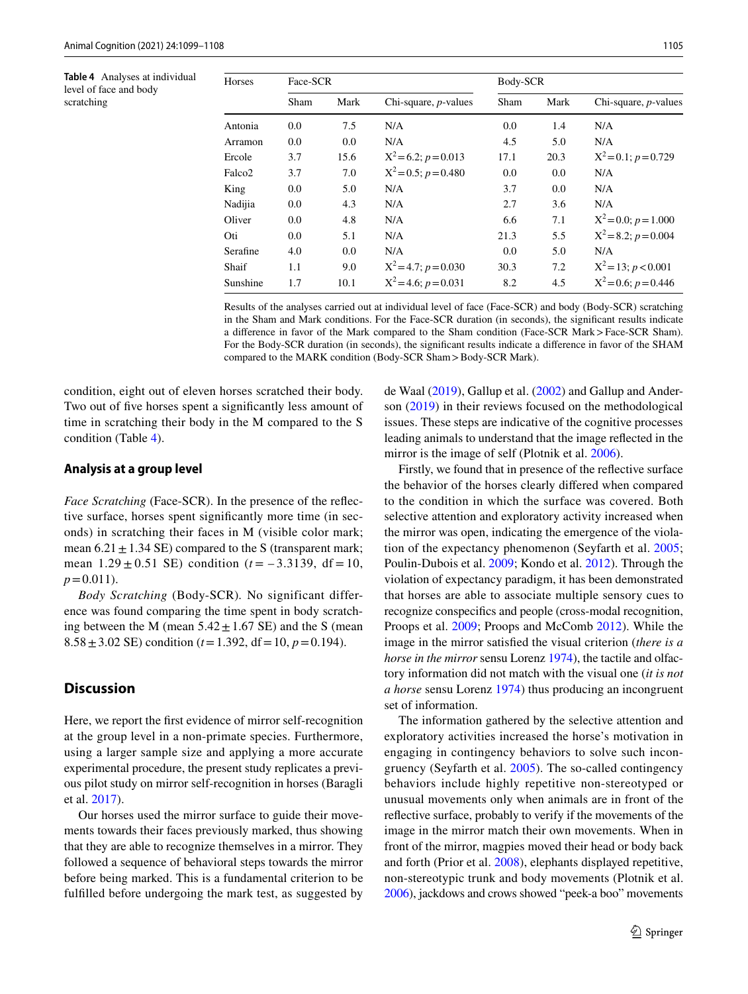<span id="page-6-0"></span>**Table 4** Analyses at individual level of face and body scratching

| Horses   | Face-SCR |      |                           | Body-SCR |      |                           |  |  |
|----------|----------|------|---------------------------|----------|------|---------------------------|--|--|
|          | Sham     | Mark | Chi-square, $p$ -values   | Sham     | Mark | Chi-square, $p$ -values   |  |  |
| Antonia  | 0.0      | 7.5  | N/A                       | 0.0      | 1.4  | N/A                       |  |  |
| Arramon  | 0.0      | 0.0  | N/A                       | 4.5      | 5.0  | N/A                       |  |  |
| Ercole   | 3.7      | 15.6 | $X^2 = 6.2$ ; $p = 0.013$ | 17.1     | 20.3 | $X^2 = 0.1$ ; $p = 0.729$ |  |  |
| Falco2   | 3.7      | 7.0  | $X^2 = 0.5$ ; $p = 0.480$ | 0.0      | 0.0  | N/A                       |  |  |
| King     | 0.0      | 5.0  | N/A                       | 3.7      | 0.0  | N/A                       |  |  |
| Nadijia  | 0.0      | 4.3  | N/A                       | 2.7      | 3.6  | N/A                       |  |  |
| Oliver   | 0.0      | 4.8  | N/A                       | 6.6      | 7.1  | $X^2 = 0.0; p = 1.000$    |  |  |
| Oti      | 0.0      | 5.1  | N/A                       | 21.3     | 5.5  | $X^2 = 8.2$ ; $p = 0.004$ |  |  |
| Serafine | 4.0      | 0.0  | N/A                       | 0.0      | 5.0  | N/A                       |  |  |
| Shaif    | 1.1      | 9.0  | $X^2 = 4.7; p = 0.030$    | 30.3     | 7.2  | $X^2 = 13$ ; $p < 0.001$  |  |  |
| Sunshine | 1.7      | 10.1 | $X^2 = 4.6$ ; $p = 0.031$ | 8.2      | 4.5  | $X^2 = 0.6$ ; $p = 0.446$ |  |  |

Results of the analyses carried out at individual level of face (Face-SCR) and body (Body-SCR) scratching in the Sham and Mark conditions. For the Face-SCR duration (in seconds), the signifcant results indicate a diference in favor of the Mark compared to the Sham condition (Face-SCR Mark>Face-SCR Sham). For the Body-SCR duration (in seconds), the signifcant results indicate a diference in favor of the SHAM compared to the MARK condition (Body-SCR Sham>Body-SCR Mark).

condition, eight out of eleven horses scratched their body. Two out of fve horses spent a signifcantly less amount of time in scratching their body in the M compared to the S condition (Table [4](#page-6-0)).

#### **Analysis at a group level**

*Face Scratching* (Face-SCR). In the presence of the refective surface, horses spent signifcantly more time (in seconds) in scratching their faces in M (visible color mark; mean  $6.21 \pm 1.34$  SE) compared to the S (transparent mark; mean  $1.29 \pm 0.51$  SE) condition ( $t = -3.3139$ , df = 10,  $p = 0.011$ .

*Body Scratching* (Body-SCR)*.* No significant difference was found comparing the time spent in body scratching between the M (mean  $5.42 \pm 1.67$  SE) and the S (mean 8.58  $\pm$  3.02 SE) condition ( $t$  = 1.392, df = 10,  $p$  = 0.194).

## **Discussion**

Here, we report the frst evidence of mirror self-recognition at the group level in a non-primate species. Furthermore, using a larger sample size and applying a more accurate experimental procedure, the present study replicates a previous pilot study on mirror self-recognition in horses (Baragli et al. [2017](#page-8-10)).

Our horses used the mirror surface to guide their movements towards their faces previously marked, thus showing that they are able to recognize themselves in a mirror. They followed a sequence of behavioral steps towards the mirror before being marked. This is a fundamental criterion to be fulflled before undergoing the mark test, as suggested by de Waal [\(2019](#page-8-2)), Gallup et al. [\(2002](#page-8-17)) and Gallup and Anderson [\(2019\)](#page-8-11) in their reviews focused on the methodological issues. These steps are indicative of the cognitive processes leading animals to understand that the image refected in the mirror is the image of self (Plotnik et al. [2006\)](#page-8-7).

Firstly, we found that in presence of the refective surface the behavior of the horses clearly difered when compared to the condition in which the surface was covered. Both selective attention and exploratory activity increased when the mirror was open, indicating the emergence of the violation of the expectancy phenomenon (Seyfarth et al. [2005](#page-9-3); Poulin-Dubois et al. [2009](#page-8-18); Kondo et al. [2012](#page-8-19)). Through the violation of expectancy paradigm, it has been demonstrated that horses are able to associate multiple sensory cues to recognize conspecifcs and people (cross-modal recognition, Proops et al. [2009](#page-8-20); Proops and McComb [2012](#page-8-21)). While the image in the mirror satisfed the visual criterion (*there is a horse in the mirror* sensu Lorenz [1974](#page-8-22)), the tactile and olfactory information did not match with the visual one (*it is not a horse* sensu Lorenz [1974\)](#page-8-22) thus producing an incongruent set of information.

The information gathered by the selective attention and exploratory activities increased the horse's motivation in engaging in contingency behaviors to solve such incongruency (Seyfarth et al. [2005\)](#page-9-3). The so-called contingency behaviors include highly repetitive non-stereotyped or unusual movements only when animals are in front of the refective surface, probably to verify if the movements of the image in the mirror match their own movements. When in front of the mirror, magpies moved their head or body back and forth (Prior et al. [2008\)](#page-8-8), elephants displayed repetitive, non-stereotypic trunk and body movements (Plotnik et al. [2006\)](#page-8-7), jackdows and crows showed "peek-a boo" movements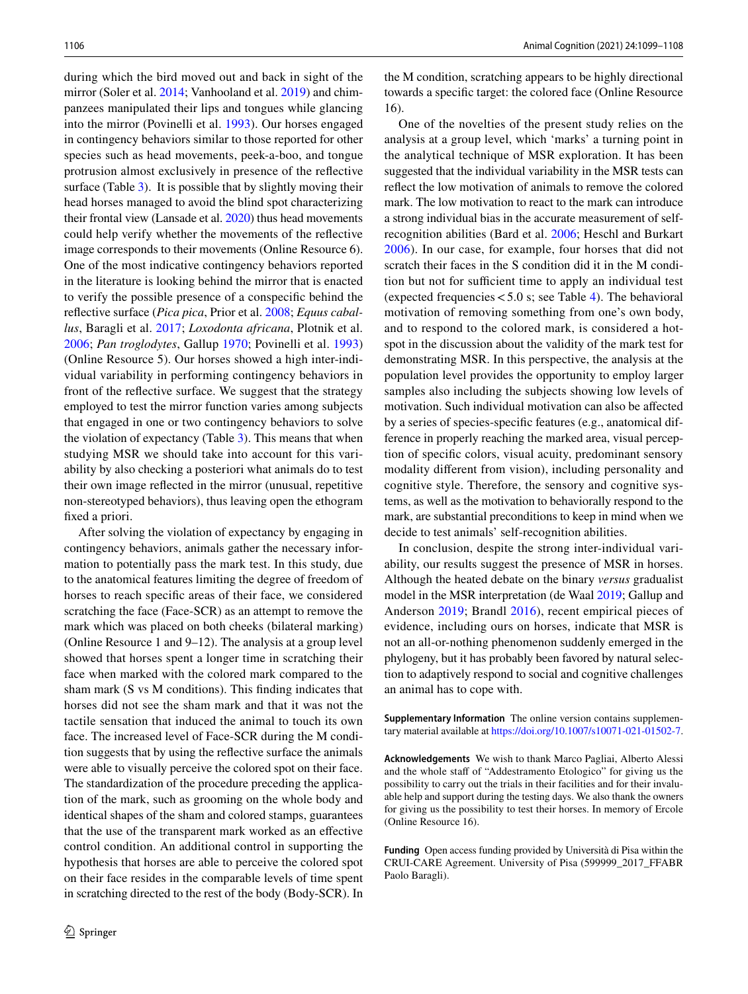during which the bird moved out and back in sight of the mirror (Soler et al. [2014](#page-9-4); Vanhooland et al. [2019\)](#page-9-5) and chimpanzees manipulated their lips and tongues while glancing into the mirror (Povinelli et al. [1993\)](#page-8-23). Our horses engaged in contingency behaviors similar to those reported for other species such as head movements, peek-a-boo, and tongue protrusion almost exclusively in presence of the refective surface (Table  $3$ ). It is possible that by slightly moving their head horses managed to avoid the blind spot characterizing their frontal view (Lansade et al. [2020](#page-8-24)) thus head movements could help verify whether the movements of the refective image corresponds to their movements (Online Resource 6). One of the most indicative contingency behaviors reported in the literature is looking behind the mirror that is enacted to verify the possible presence of a conspecifc behind the refective surface (*Pica pica*, Prior et al. [2008](#page-8-8); *Equus caballus*, Baragli et al. [2017;](#page-8-10) *Loxodonta africana*, Plotnik et al. [2006](#page-8-7); *Pan troglodytes*, Gallup [1970](#page-8-25); Povinelli et al. [1993\)](#page-8-23) (Online Resource 5). Our horses showed a high inter-individual variability in performing contingency behaviors in front of the refective surface. We suggest that the strategy employed to test the mirror function varies among subjects that engaged in one or two contingency behaviors to solve the violation of expectancy (Table [3](#page-5-0)). This means that when studying MSR we should take into account for this variability by also checking a posteriori what animals do to test their own image refected in the mirror (unusual, repetitive non-stereotyped behaviors), thus leaving open the ethogram fxed a priori.

After solving the violation of expectancy by engaging in contingency behaviors, animals gather the necessary information to potentially pass the mark test. In this study, due to the anatomical features limiting the degree of freedom of horses to reach specifc areas of their face, we considered scratching the face (Face-SCR) as an attempt to remove the mark which was placed on both cheeks (bilateral marking) (Online Resource 1 and 9–12). The analysis at a group level showed that horses spent a longer time in scratching their face when marked with the colored mark compared to the sham mark (S vs M conditions). This fnding indicates that horses did not see the sham mark and that it was not the tactile sensation that induced the animal to touch its own face. The increased level of Face-SCR during the M condition suggests that by using the refective surface the animals were able to visually perceive the colored spot on their face. The standardization of the procedure preceding the application of the mark, such as grooming on the whole body and identical shapes of the sham and colored stamps, guarantees that the use of the transparent mark worked as an efective control condition. An additional control in supporting the hypothesis that horses are able to perceive the colored spot on their face resides in the comparable levels of time spent in scratching directed to the rest of the body (Body-SCR). In the M condition, scratching appears to be highly directional towards a specifc target: the colored face (Online Resource 16).

One of the novelties of the present study relies on the analysis at a group level, which 'marks' a turning point in the analytical technique of MSR exploration. It has been suggested that the individual variability in the MSR tests can refect the low motivation of animals to remove the colored mark. The low motivation to react to the mark can introduce a strong individual bias in the accurate measurement of selfrecognition abilities (Bard et al. [2006](#page-8-26); Heschl and Burkart [2006\)](#page-8-27). In our case, for example, four horses that did not scratch their faces in the S condition did it in the M condition but not for sufficient time to apply an individual test (expected frequencies  $< 5.0$  s; see Table [4\)](#page-6-0). The behavioral motivation of removing something from one's own body, and to respond to the colored mark, is considered a hotspot in the discussion about the validity of the mark test for demonstrating MSR. In this perspective, the analysis at the population level provides the opportunity to employ larger samples also including the subjects showing low levels of motivation. Such individual motivation can also be afected by a series of species-specifc features (e.g., anatomical difference in properly reaching the marked area, visual perception of specifc colors, visual acuity, predominant sensory modality diferent from vision), including personality and cognitive style. Therefore, the sensory and cognitive systems, as well as the motivation to behaviorally respond to the mark, are substantial preconditions to keep in mind when we decide to test animals' self-recognition abilities.

In conclusion, despite the strong inter-individual variability, our results suggest the presence of MSR in horses. Although the heated debate on the binary *versus* gradualist model in the MSR interpretation (de Waal [2019](#page-8-2); Gallup and Anderson [2019;](#page-8-11) Brandl [2016](#page-8-28)), recent empirical pieces of evidence, including ours on horses, indicate that MSR is not an all-or-nothing phenomenon suddenly emerged in the phylogeny, but it has probably been favored by natural selection to adaptively respond to social and cognitive challenges an animal has to cope with.

**Supplementary Information** The online version contains supplementary material available at<https://doi.org/10.1007/s10071-021-01502-7>.

**Acknowledgements** We wish to thank Marco Pagliai, Alberto Alessi and the whole staff of "Addestramento Etologico" for giving us the possibility to carry out the trials in their facilities and for their invaluable help and support during the testing days. We also thank the owners for giving us the possibility to test their horses. In memory of Ercole (Online Resource 16).

**Funding** Open access funding provided by Università di Pisa within the CRUI-CARE Agreement. University of Pisa (599999\_2017\_FFABR Paolo Baragli).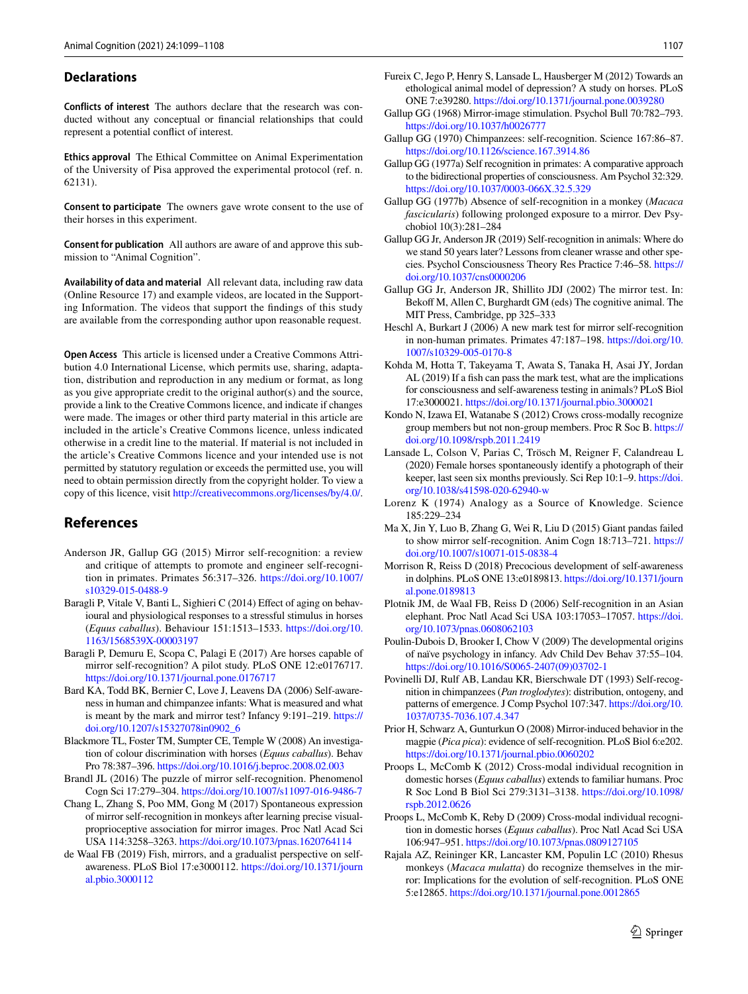#### **Declarations**

**Conflicts of interest** The authors declare that the research was conducted without any conceptual or fnancial relationships that could represent a potential confict of interest.

**Ethics approval** The Ethical Committee on Animal Experimentation of the University of Pisa approved the experimental protocol (ref. n. 62131).

**Consent to participate** The owners gave wrote consent to the use of their horses in this experiment.

**Consent for publication** All authors are aware of and approve this submission to "Animal Cognition".

**Availability of data and material** All relevant data, including raw data (Online Resource 17) and example videos, are located in the Supporting Information. The videos that support the fndings of this study are available from the corresponding author upon reasonable request.

**Open Access** This article is licensed under a Creative Commons Attribution 4.0 International License, which permits use, sharing, adaptation, distribution and reproduction in any medium or format, as long as you give appropriate credit to the original author(s) and the source, provide a link to the Creative Commons licence, and indicate if changes were made. The images or other third party material in this article are included in the article's Creative Commons licence, unless indicated otherwise in a credit line to the material. If material is not included in the article's Creative Commons licence and your intended use is not permitted by statutory regulation or exceeds the permitted use, you will need to obtain permission directly from the copyright holder. To view a copy of this licence, visit <http://creativecommons.org/licenses/by/4.0/>.

## **References**

- <span id="page-8-3"></span>Anderson JR, Gallup GG (2015) Mirror self-recognition: a review and critique of attempts to promote and engineer self-recognition in primates. Primates 56:317–326. [https://doi.org/10.1007/](https://doi.org/10.1007/s10329-015-0488-9) [s10329-015-0488-9](https://doi.org/10.1007/s10329-015-0488-9)
- <span id="page-8-15"></span>Baragli P, Vitale V, Banti L, Sighieri C (2014) Efect of aging on behavioural and physiological responses to a stressful stimulus in horses (*Equus caballus*). Behaviour 151:1513–1533. [https://doi.org/10.](https://doi.org/10.1163/1568539X-00003197) [1163/1568539X-00003197](https://doi.org/10.1163/1568539X-00003197)
- <span id="page-8-10"></span>Baragli P, Demuru E, Scopa C, Palagi E (2017) Are horses capable of mirror self-recognition? A pilot study. PLoS ONE 12:e0176717. <https://doi.org/10.1371/journal.pone.0176717>
- <span id="page-8-26"></span>Bard KA, Todd BK, Bernier C, Love J, Leavens DA (2006) Self-awareness in human and chimpanzee infants: What is measured and what is meant by the mark and mirror test? Infancy 9:191–219. [https://](https://doi.org/10.1207/s15327078in0902_6) [doi.org/10.1207/s15327078in0902\\_6](https://doi.org/10.1207/s15327078in0902_6)
- <span id="page-8-16"></span>Blackmore TL, Foster TM, Sumpter CE, Temple W (2008) An investigation of colour discrimination with horses (*Equus caballus*). Behav Pro 78:387–396.<https://doi.org/10.1016/j.beproc.2008.02.003>
- <span id="page-8-28"></span>Brandl JL (2016) The puzzle of mirror self-recognition. Phenomenol Cogn Sci 17:279–304. <https://doi.org/10.1007/s11097-016-9486-7>
- <span id="page-8-6"></span>Chang L, Zhang S, Poo MM, Gong M (2017) Spontaneous expression of mirror self-recognition in monkeys after learning precise visualproprioceptive association for mirror images. Proc Natl Acad Sci USA 114:3258–3263.<https://doi.org/10.1073/pnas.1620764114>
- <span id="page-8-2"></span>de Waal FB (2019) Fish, mirrors, and a gradualist perspective on selfawareness. PLoS Biol 17:e3000112. [https://doi.org/10.1371/journ](https://doi.org/10.1371/journal.pbio.3000112) [al.pbio.3000112](https://doi.org/10.1371/journal.pbio.3000112)
- <span id="page-8-14"></span>Fureix C, Jego P, Henry S, Lansade L, Hausberger M (2012) Towards an ethological animal model of depression? A study on horses. PLoS ONE 7:e39280.<https://doi.org/10.1371/journal.pone.0039280>
- <span id="page-8-0"></span>Gallup GG (1968) Mirror-image stimulation. Psychol Bull 70:782–793. <https://doi.org/10.1037/h0026777>
- <span id="page-8-25"></span>Gallup GG (1970) Chimpanzees: self-recognition. Science 167:86–87. <https://doi.org/10.1126/science.167.3914.86>
- <span id="page-8-1"></span>Gallup GG (1977a) Self recognition in primates: A comparative approach to the bidirectional properties of consciousness. Am Psychol 32:329. <https://doi.org/10.1037/0003-066X.32.5.329>
- <span id="page-8-4"></span>Gallup GG (1977b) Absence of self-recognition in a monkey (*Macaca fascicularis*) following prolonged exposure to a mirror. Dev Psychobiol 10(3):281–284
- <span id="page-8-11"></span>Gallup GG Jr, Anderson JR (2019) Self-recognition in animals: Where do we stand 50 years later? Lessons from cleaner wrasse and other species. Psychol Consciousness Theory Res Practice 7:46–58. [https://](https://doi.org/10.1037/cns0000206) [doi.org/10.1037/cns0000206](https://doi.org/10.1037/cns0000206)
- <span id="page-8-17"></span>Gallup GG Jr, Anderson JR, Shillito JDJ (2002) The mirror test. In: Bekoff M, Allen C, Burghardt GM (eds) The cognitive animal. The MIT Press, Cambridge, pp 325–333
- <span id="page-8-27"></span>Heschl A, Burkart J (2006) A new mark test for mirror self-recognition in non-human primates. Primates 47:187–198. [https://doi.org/10.](https://doi.org/10.1007/s10329-005-0170-8) [1007/s10329-005-0170-8](https://doi.org/10.1007/s10329-005-0170-8)
- <span id="page-8-9"></span>Kohda M, Hotta T, Takeyama T, Awata S, Tanaka H, Asai JY, Jordan AL (2019) If a fish can pass the mark test, what are the implications for consciousness and self-awareness testing in animals? PLoS Biol 17:e3000021. <https://doi.org/10.1371/journal.pbio.3000021>
- <span id="page-8-19"></span>Kondo N, Izawa EI, Watanabe S (2012) Crows cross-modally recognize group members but not non-group members. Proc R Soc B. [https://](https://doi.org/10.1098/rspb.2011.2419) [doi.org/10.1098/rspb.2011.2419](https://doi.org/10.1098/rspb.2011.2419)
- <span id="page-8-24"></span>Lansade L, Colson V, Parias C, Trösch M, Reigner F, Calandreau L (2020) Female horses spontaneously identify a photograph of their keeper, last seen six months previously. Sci Rep 10:1–9. [https://doi.](https://doi.org/10.1038/s41598-020-62940-w) [org/10.1038/s41598-020-62940-w](https://doi.org/10.1038/s41598-020-62940-w)
- <span id="page-8-22"></span>Lorenz K (1974) Analogy as a Source of Knowledge. Science 185:229–234
- <span id="page-8-13"></span>Ma X, Jin Y, Luo B, Zhang G, Wei R, Liu D (2015) Giant pandas failed to show mirror self-recognition. Anim Cogn 18:713–721. [https://](https://doi.org/10.1007/s10071-015-0838-4) [doi.org/10.1007/s10071-015-0838-4](https://doi.org/10.1007/s10071-015-0838-4)
- <span id="page-8-12"></span>Morrison R, Reiss D (2018) Precocious development of self-awareness in dolphins. PLoS ONE 13:e0189813. [https://doi.org/10.1371/journ](https://doi.org/10.1371/journal.pone.0189813) [al.pone.0189813](https://doi.org/10.1371/journal.pone.0189813)
- <span id="page-8-7"></span>Plotnik JM, de Waal FB, Reiss D (2006) Self-recognition in an Asian elephant. Proc Natl Acad Sci USA 103:17053–17057. [https://doi.](https://doi.org/10.1073/pnas.0608062103) [org/10.1073/pnas.0608062103](https://doi.org/10.1073/pnas.0608062103)
- <span id="page-8-18"></span>Poulin-Dubois D, Brooker I, Chow V (2009) The developmental origins of naïve psychology in infancy. Adv Child Dev Behav 37:55–104. [https://doi.org/10.1016/S0065-2407\(09\)03702-1](https://doi.org/10.1016/S0065-2407(09)03702-1)
- <span id="page-8-23"></span>Povinelli DJ, Rulf AB, Landau KR, Bierschwale DT (1993) Self-recognition in chimpanzees (*Pan troglodytes*): distribution, ontogeny, and patterns of emergence. J Comp Psychol 107:347. [https://doi.org/10.](https://doi.org/10.1037/0735-7036.107.4.347) [1037/0735-7036.107.4.347](https://doi.org/10.1037/0735-7036.107.4.347)
- <span id="page-8-8"></span>Prior H, Schwarz A, Gunturkun O (2008) Mirror-induced behavior in the magpie (*Pica pica*): evidence of self-recognition. PLoS Biol 6:e202. <https://doi.org/10.1371/journal.pbio.0060202>
- <span id="page-8-21"></span>Proops L, McComb K (2012) Cross-modal individual recognition in domestic horses (*Equus caballus*) extends to familiar humans. Proc R Soc Lond B Biol Sci 279:3131–3138. [https://doi.org/10.1098/](https://doi.org/10.1098/rspb.2012.0626) [rspb.2012.0626](https://doi.org/10.1098/rspb.2012.0626)
- <span id="page-8-20"></span>Proops L, McComb K, Reby D (2009) Cross-modal individual recognition in domestic horses (*Equus caballus*). Proc Natl Acad Sci USA 106:947–951.<https://doi.org/10.1073/pnas.0809127105>
- <span id="page-8-5"></span>Rajala AZ, Reininger KR, Lancaster KM, Populin LC (2010) Rhesus monkeys (*Macaca mulatta*) do recognize themselves in the mirror: Implications for the evolution of self-recognition. PLoS ONE 5:e12865.<https://doi.org/10.1371/journal.pone.0012865>